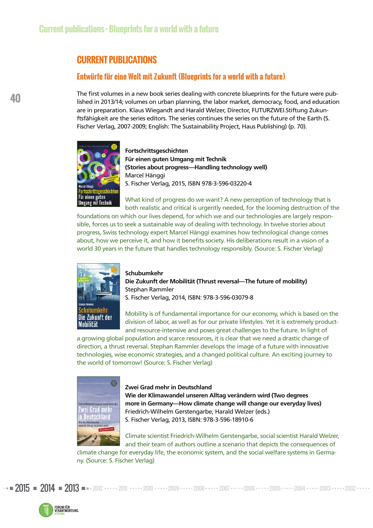# **CURRENT PUBLICATIONS**

## **Entwürfe für eine Welt mit Zukunft (Blueprints for a world with a future)**

The first volumes in a new book series dealing with concrete blueprints for the future were published in 2013/14; volumes on urban planning, the labor market, democracy, food, and education are in preparation. Klaus Wiegandt and Harald Welzer, Director, FUTURZWEI.Stiftung Zukunftsfähigkeit are the series editors. The series continues the series on the future of the Earth (S. Fischer Verlag, 2007-2009; English: The Sustainability Project, Haus Publishing) (p. 70).



**Fortschrittsgeschichten Für einen guten Umgang mit Technik (Stories about progress—Handling technology well)**  Marcel Hänggi S. Fischer Verlag, 2015, ISBN 978-3-596-03220-4

What kind of progress do we want? A new perception of technology that is both realistic and critical is urgently needed, for the looming destruction of the

foundations on which our lives depend, for which we and our technologies are largely responsible, forces us to seek a sustainable way of dealing with technology. In twelve stories about prog ress, Swiss technology expert Marcel Hänggi examines how technological change comes about, how we perceive it, and how it benefits society. His deliberations result in a vision of a world 30 years in the future that handles technology responsibly. (Source: S. Fischer Verlag)



#### **Schubumkehr**

**Die Zukunft der Mobilität (Thrust reversal—The future of mobility)**  Stephan Rammler S. Fischer Verlag, 2014, ISBN: 978-3-596-03079-8

Mobility is of fundamental importance for our economy, which is based on the division of labor, as well as for our private lifestyles. Yet it is extremely productand resource-intensive and poses great challenges to the future. In light of

a growing global population and scarce resources, it is clear that we need a drastic change of direction, a thrust reversal. Stephan Rammler develops the image of a future with innovative technologies, wise economic strategies, and a changed political culture. An exciting journey to the world of tomorrow! (Source: S. Fischer Verlag)



#### **Zwei Grad mehr in Deutschland**

**Wie der Klimawandel unseren Alltag verändern wird (Two degrees more in Germany—How climate change will change our everyday lives)**  Friedrich-Wilhelm Gerstengarbe, Harald Welzer (eds.) S. Fischer Verlag, 2013, ISBN: 978-3-596-18910-6

Climate scientist Friedrich-Wilhelm Gerstengarbe, social scientist Harald Welzer, and their team of authors outline a scenario that depicts the consequences of

climate change for everyday life, the economic system, and the social welfare systems in Germany. (Source: S. Fischer Verlag)

 $2015$  =  $2014$  =  $2013$  =  $2012$   $\cdots$   $2011$   $\cdots$   $2010$   $\cdots$   $2009$   $\cdots$   $2008$   $\cdots$   $2007$   $\cdots$   $2006$   $\cdots$   $2005$   $\cdots$   $2004$   $\cdots$   $2003$   $\cdots$   $2002$ 

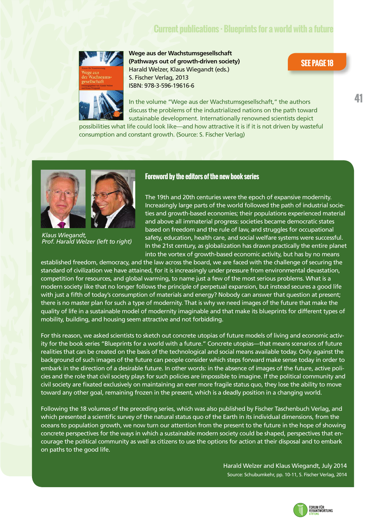# **Current publications · Blueprints for a world with a future**



**Wege aus der Wachstumsgesellschaft (Pathways out of growth-driven society)**  Harald Welzer, Klaus Wiegandt (eds.) S. Fischer Verlag, 2013 ISBN: 978-3-596-19616-6

### **SEE PAGE 18**

In the volume "Wege aus der Wachstumsgesellschaft," the authors discuss the problems of the industrialized nations on the path toward sustainable development. Internationally renowned scientists depict

possibilities what life could look like—and how attractive it is if it is not driven by wasteful consumption and constant growth. (Source: S. Fischer Verlag)





*Klaus Wiegandt, Prof. Harald Welzer (left to right)* 

#### **Foreword by the editors of the new book series**

The 19th and 20th centuries were the epoch of expansive modernity. Increasingly large parts of the world followed the path of industrial societies and growth-based economies; their populations experienced material and above all immaterial progress: societies became democratic states based on freedom and the rule of law, and struggles for occupational safety, education, health care, and social welfare systems were successful. In the 21st century, as globalization has drawn practically the entire planet into the vortex of growth-based economic activity, but has by no means

established freedom, democracy, and the law across the board, we are faced with the challenge of securing the standard of civilization we have attained, for it is increasingly under pressure from environmental devastation, competition for resources, and global warming, to name just a few of the most serious problems. What is a modern society like that no longer follows the principle of perpetual expansion, but instead secures a good life with just a fifth of today's consumption of materials and energy? Nobody can answer that question at present; there is no master plan for such a type of modernity. That is why we need images of the future that make the quality of life in a sustainable model of modernity imaginable and that make its blueprints for different types of mobility, building, and housing seem attractive and not forbidding.

For this reason, we asked scientists to sketch out concrete utopias of future models of living and economic activity for the book series "Blueprints for a world with a future." Concrete utopias—that means scenarios of future realities that can be created on the basis of the technological and social means available today. Only against the background of such images of the future can people consider which steps forward make sense today in order to embark in the direction of a desirable future. In other words: in the absence of images of the future, active policies and the role that civil society plays for such policies are impossible to imagine. If the political community and civil society are fixated exclusively on maintaining an ever more fragile status quo, they lose the ability to move toward any other goal, remaining frozen in the present, which is a deadly position in a changing world.

Following the 18 volumes of the preceding series, which was also published by Fischer Taschenbuch Verlag, and which presented a scientific survey of the natural status quo of the Earth in its individual dimensions, from the oceans to population growth, we now turn our attention from the present to the future in the hope of showing concrete perspectives for the ways in which a sustainable modern society could be shaped, perspectives that encourage the political community as well as citizens to use the options for action at their disposal and to embark on paths to the good life.

> Harald Welzer and Klaus Wiegandt, July 2014 Source: Schubumkehr, pp. 10-11, S. Fischer Verlag, 2014



**41**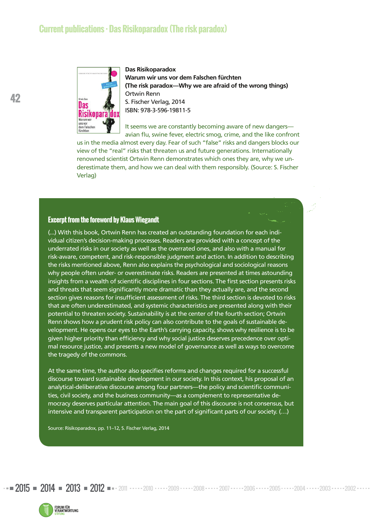

**Das Risikoparadox Warum wir uns vor dem Falschen fürchten (The risk paradox—Why we are afraid of the wrong things)** Ortwin Renn S. Fischer Verlag, 2014 ISBN: 978-3-596-19811-5

It seems we are constantly becoming aware of new dangers avian flu, swine fever, electric smog, crime, and the like confront

us in the media almost every day. Fear of such "false" risks and dangers blocks our view of the "real" risks that threaten us and future generations. Internationally renowned scientist Ortwin Renn demonstrates which ones they are, why we underestimate them, and how we can deal with them responsibly. (Source: S. Fischer Verlag)

#### **Excerpt from the foreword by Klaus Wiegandt**

(...) With this book, Ortwin Renn has created an outstanding foundation for each individual citizen's decision-making processes. Readers are provided with a concept of the underrated risks in our society as well as the overrated ones, and also with a manual for risk-aware, competent, and risk-responsible judgment and action. In addition to describing the risks mentioned above, Renn also explains the psychological and sociological reasons why people often under- or overestimate risks. Readers are presented at times astounding insights from a wealth of scientific disciplines in four sections. The first section presents risks and threats that seem significantly more dramatic than they actually are, and the second section gives reasons for insufficient assessment of risks. The third section is devoted to risks that are often underestimated, and systemic characteristics are presented along with their potential to threaten society. Sustainability is at the center of the fourth section; Ortwin Renn shows how a prudent risk policy can also contribute to the goals of sustainable development. He opens our eyes to the Earth's carrying capacity, shows why resilience is to be given higher priority than efficiency and why social justice deserves precedence over optimal resource justice, and presents a new model of governance as well as ways to overcome the tragedy of the commons.

At the same time, the author also specifies reforms and changes required for a successful discourse toward sustainable development in our society. In this context, his proposal of an analytical-deliberative discourse among four partners—the policy and scientific communities, civil society, and the business community—as a complement to representative democracy deserves particular attention. The main goal of this discourse is not consensus, but intensive and transparent participation on the part of significant parts of our society. (…)

Source: Risikoparadox, pp. 11–12, S. Fischer Verlag, 2014



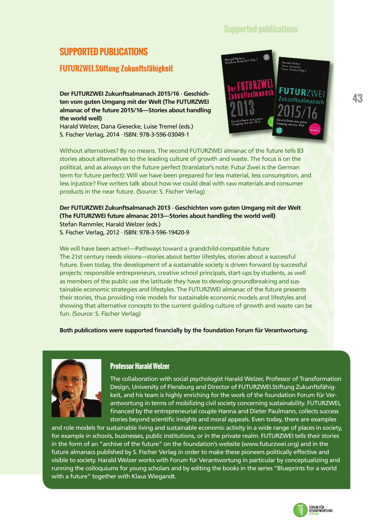## **Supported publications**

# **SUPPORTED PUBLICATIONS**

## **FUTURZWEI.Stiftung Zukunftsfähigkeit**

**Der FUTURZWEI Zukunftsalmanach 2015/16 · Geschichten vom guten Umgang mit der Welt (The FUTURZWEI almanac of the future 2015/16—Stories about handling the world well)** 

Harald Welzer, Dana Giesecke, Luise Tremel (eds.) S. Fischer Verlag, 2014 · ISBN: 978-3-596-03049-1



Without alternatives? By no means. The second FUTURZWEI almanac of the future tells 83 stories about alternatives to the leading culture of growth and waste. The focus is on the political, and as always on the future perfect (translator's note: Futur Zwei is the German term for future perfect): Will we have been prepared for less material, less consumption, and less injustice? Five writers talk about how we could deal with raw materials and consumer products in the near future. (Source: S. Fischer Verlag)

**Der FUTURZWEI Zukunftsalmanach 2013 · Geschichten vom guten Umgang mit der Welt (The FUTURZWEI future almanac 2013—Stories about handling the world well)**  Stefan Rammler, Harald Welzer (eds.) S. Fischer Verlag, 2012 · ISBN: 978-3-596-19420-9

We will have been active!—Pathways toward a grandchild-compatible future The 21st century needs visions—stories about better lifestyles, stories about a successful future. Even today, the development of a sustainable society is driven forward by successful projects: responsible entrepreneurs, creative school principals, start-ups by students, as well as members of the public use the latitude they have to develop groundbreaking and sustainable economic strategies and lifestyles. The FUTURZWEI almanac of the future presents their stories, thus providing role models for sustainable economic models and lifestyles and showing that alternative concepts to the current guiding culture of growth and waste can be fun. (Source: S. Fischer Verlag)

**Both publications were supported financially by the foundation Forum für Verantwortung.**



#### **Professor Harald Welzer**

The collaboration with social psychologist Harald Welzer, Professor of Transformation Design, University of Flensburg and Director of FUTURZWEI.Stiftung Zukunftsfähigkeit, and his team is highly enriching for the work of the foundation Forum für Verantwortung in terms of mobilizing civil society concerning sustainability. FUTURZWEI, financed by the entrepreneurial couple Hanna and Dieter Paulmann, collects success stories beyond scientific insights and moral appeals. Even today, there are examples

and role models for sustainable living and sustainable economic activity in a wide range of places in society, for example in schools, businesses, public institutions, or in the private realm. FUTURZWEI tells their stories in the form of an "archive of the future" on the foundation's website (www.futurzwei.org) and in the future almanacs published by S. Fischer Verlag in order to make these pioneers politically effective and visible to society. Harald Welzer works with Forum für Verantwortung in particular by conceptualizing and running the colloquiums for young scholars and by editing the books in the series "Blueprints for a world with a future" together with Klaus Wiegandt.

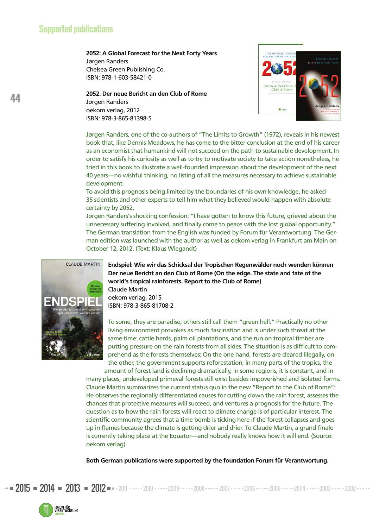**2052: A Global Forecast for the Next Forty Years** Jørgen Randers Chelsea Green Publishing Co. ISBN: 978-1-603-58421-0

**2052. Der neue Bericht an den Club of Rome** Jørgen Randers oekom verlag, 2012 ISBN: 978-3-865-81398-5



Jørgen Randers, one of the co-authors of "The Limits to Growth" (1972), reveals in his newest book that, like Dennis Meadows, he has come to the bitter conclusion at the end of his career as an economist that humankind will not succeed on the path to sustainable development. In order to satisfy his curiosity as well as to try to motivate society to take action nonetheless, he tried in this book to illustrate a well-founded impression about the development of the next 40 years—no wishful thinking, no listing of all the measures necessary to achieve sustainable development.

To avoid this prognosis being limited by the boundaries of his own knowledge, he asked 35 scientists and other experts to tell him what they believed would happen with absolute certainty by 2052.

Jørgen Randers's shocking confession: "I have gotten to know this future, grieved about the unnecessary suffering involved, and finally come to peace with the lost global opportunity." The German translation from the English was funded by Forum für Verantwortung. The German edition was launched with the author as well as oekom verlag in Frankfurt am Main on October 12, 2012. (Text: Klaus Wiegandt)



**Endspiel: Wie wir das Schicksal der Tropischen Regenwälder noch wenden können Der neue Bericht an den Club of Rome (On the edge. The state and fate of the world's tropical rainforests. Report to the Club of Rome)** Claude Martin oekom verlag, 2015 ISBN: 978-3-865-81708-2

To some, they are paradise; others still call them "green hell." Practically no other living environment provokes as much fascination and is under such threat at the same time: cattle herds, palm oil plantations, and the run on tropical timber are putting pressure on the rain forests from all sides. The situation is as difficult to comprehend as the forests themselves: On the one hand, forests are cleared illegally, on the other, the government supports reforestation; in many parts of the tropics, the amount of forest land is declining dramatically, in some regions, it is constant, and in

many places, undeveloped primeval forests still exist besides impoverished and isolated forms. Claude Martin summarizes the current status quo in the new "Report to the Club of Rome": He observes the regionally differentiated causes for cutting down the rain forest, assesses the chances that protective measures will succeed, and ventures a prognosis for the future. The question as to how the rain forests will react to climate change is of particular interest. The scientific community agrees that a time bomb is ticking here if the forest collapses and goes up in flames because the climate is getting drier and drier. To Claude Martin, a grand finale is currently taking place at the Equator—and nobody really knows how it will end. (Source: oekom verlag)

**Both German publications were supported by the foundation Forum für Verantwortung.**

2015 **2014 2013 2012 -** 2011 .....2010 .....2009 .....2008 ..... 2007 .....2006 ..... 2005 .....2004 .....2003 .....2002